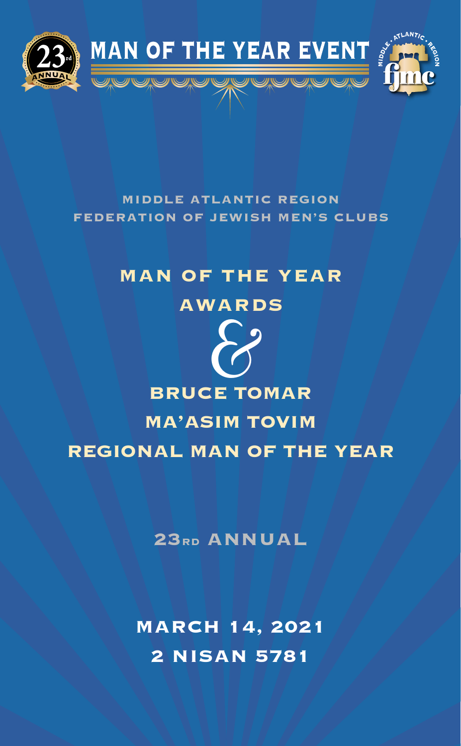

## **MIDDLE ATLANTIC REGION FEDERATION OF JEWISH MEN'S CLUBS**

# **MAN OF THE YEAR**

## **AWARDS**



**23RD ANNUAL**

**MARCH 14, 2021 2 NISAN 5781**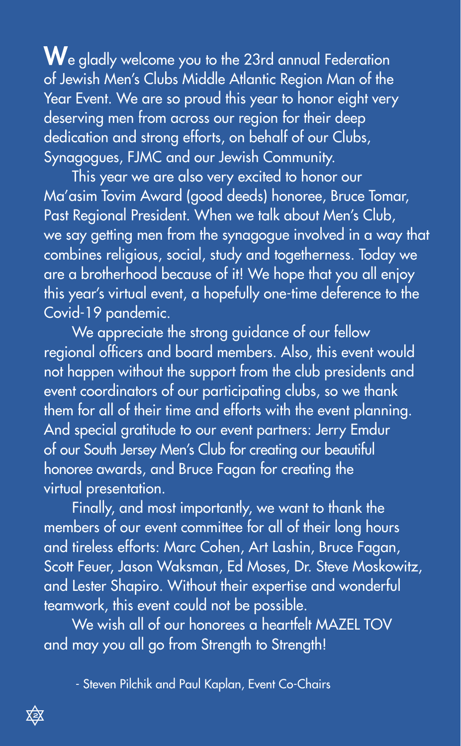$\mathbf W$ e gladly welcome you to the 23rd annual Federation of Jewish Men's Clubs Middle Atlantic Region Man of the Year Event. We are so proud this year to honor eight very deserving men from across our region for their deep dedication and strong efforts, on behalf of our Clubs, Synagogues, FJMC and our Jewish Community.

This year we are also very excited to honor our Ma'asim Tovim Award (good deeds) honoree, Bruce Tomar, Past Regional President. When we talk about Men's Club, we say getting men from the synagogue involved in a way that combines religious, social, study and togetherness. Today we are a brotherhood because of it! We hope that you all enjoy this year's virtual event, a hopefully one-time deference to the Covid-19 pandemic.

We appreciate the strong guidance of our fellow regional officers and board members. Also, this event would not happen without the support from the club presidents and event coordinators of our participating clubs, so we thank them for all of their time and efforts with the event planning. And special gratitude to our event partners: Jerry Emdur of our South Jersey Men's Club for creating our beautiful honoree awards, and Bruce Fagan for creating the virtual presentation.

Finally, and most importantly, we want to thank the members of our event committee for all of their long hours and tireless efforts: Marc Cohen, Art Lashin, Bruce Fagan, Scott Feuer, Jason Waksman, Ed Moses, Dr. Steve Moskowitz, and Lester Shapiro. Without their expertise and wonderful teamwork, this event could not be possible.

We wish all of our honorees a heartfelt MAZEL TOV and may you all go from Strength to Strength!

- Steven Pilchik and Paul Kaplan, Event Co-Chairs

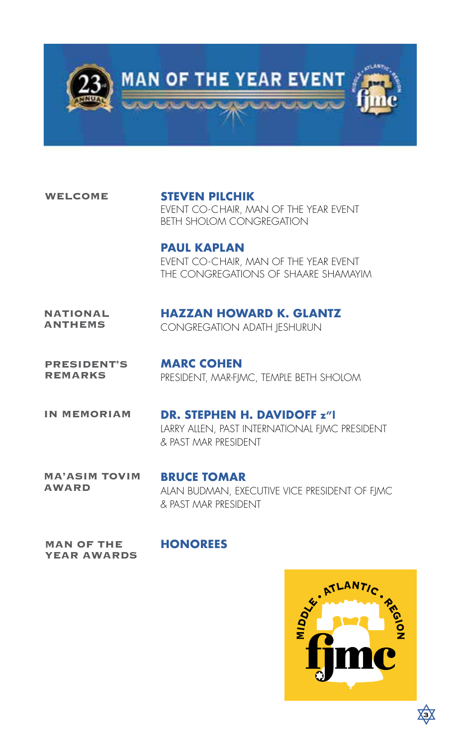

**WELCOME**

**STEVEN PILCHIK** EVENT CO-CHAIR, MAN OF THE YEAR EVENT BETH SHOLOM CONGREGATION

**PAUL KAPLAN** EVENT CO-CHAIR, MAN OF THE YEAR EVENT THE CONGREGATIONS OF SHAARE SHAMAYIM

### **NATIONAL ANTHEMS**

## **HAZZAN HOWARD K. GLANTZ**

CONGREGATION ADATH JESHURUN

**PRESIDENT'S REMARKS**

**MARC COHEN** PRESIDENT, MAR-FJMC, TEMPLE BETH SHOLOM

**IN MEMORIAM** 

**DR. STEPHEN H. DAVIDOFF z"l** LARRY ALLEN, PAST INTERNATIONAL FIMC PRESIDENT & PAST MAR PRESIDENT

**MA'ASIM TOVIM AWARD**

**BRUCE TOMAR** ALAN BUDMAN, EXECUTIVE VICE PRESIDENT OF FJMC & PAST MAR PRESIDENT

**MAN OF THE YEAR AWARDS**

## **HONOREES**



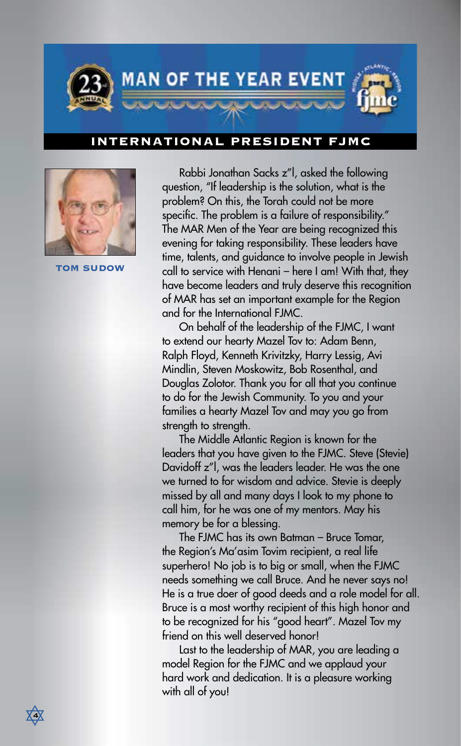

## **INTERNATIONAL PRESIDENT FJMC**



**TOM SUDOW**

Rabbi Jonathan Sacks z"l, asked the following question, "If leadership is the solution, what is the problem? On this, the Torah could not be more specific. The problem is a failure of responsibility." The MAR Men of the Year are being recognized this evening for taking responsibility. These leaders have time, talents, and guidance to involve people in Jewish call to service with Henani – here I am! With that, they have become leaders and truly deserve this recognition of MAR has set an important example for the Region and for the International FJMC.

On behalf of the leadership of the FJMC, I want to extend our hearty Mazel Tov to: Adam Benn, Ralph Floyd, Kenneth Krivitzky, Harry Lessig, Avi Mindlin, Steven Moskowitz, Bob Rosenthal, and Douglas Zolotor. Thank you for all that you continue to do for the Jewish Community. To you and your families a hearty Mazel Tov and may you go from strength to strength.

The Middle Atlantic Region is known for the leaders that you have given to the FJMC. Steve (Stevie) Davidoff z"l, was the leaders leader. He was the one we turned to for wisdom and advice. Stevie is deeply missed by all and many days I look to my phone to call him, for he was one of my mentors. May his memory be for a blessing.

The FJMC has its own Batman – Bruce Tomar, the Region's Ma'asim Tovim recipient, a real life superhero! No job is to big or small, when the FJMC needs something we call Bruce. And he never says no! He is a true doer of good deeds and a role model for all. Bruce is a most worthy recipient of this high honor and to be recognized for his "good heart". Mazel Tov my friend on this well deserved honor!

Last to the leadership of MAR, you are leading a model Region for the FJMC and we applaud your hard work and dedication. It is a pleasure working with all of you!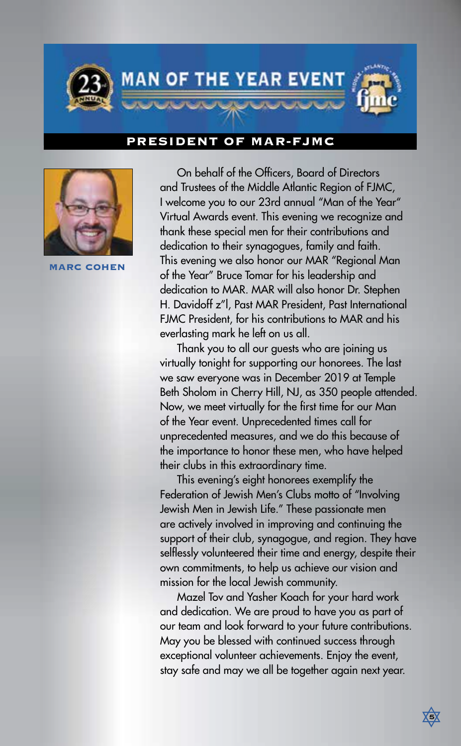

## **PRESIDENT OF MAR-FJMC**



**MARC COHEN**

On behalf of the Officers, Board of Directors and Trustees of the Middle Atlantic Region of FJMC, I welcome you to our 23rd annual "Man of the Year" Virtual Awards event. This evening we recognize and thank these special men for their contributions and dedication to their synagogues, family and faith. This evening we also honor our MAR "Regional Man of the Year" Bruce Tomar for his leadership and dedication to MAR. MAR will also honor Dr. Stephen H. Davidoff z"l, Past MAR President, Past International FJMC President, for his contributions to MAR and his everlasting mark he left on us all.

Thank you to all our guests who are joining us virtually tonight for supporting our honorees. The last we saw everyone was in December 2019 at Temple Beth Sholom in Cherry Hill, NJ, as 350 people attended. Now, we meet virtually for the first time for our Man of the Year event. Unprecedented times call for unprecedented measures, and we do this because of the importance to honor these men, who have helped their clubs in this extraordinary time.

This evening's eight honorees exemplify the Federation of Jewish Men's Clubs motto of "Involving Jewish Men in Jewish Life." These passionate men are actively involved in improving and continuing the support of their club, synagogue, and region. They have selflessly volunteered their time and energy, despite their own commitments, to help us achieve our vision and mission for the local Jewish community.

Mazel Tov and Yasher Koach for your hard work and dedication. We are proud to have you as part of our team and look forward to your future contributions. May you be blessed with continued success through exceptional volunteer achievements. Enjoy the event, stay safe and may we all be together again next year.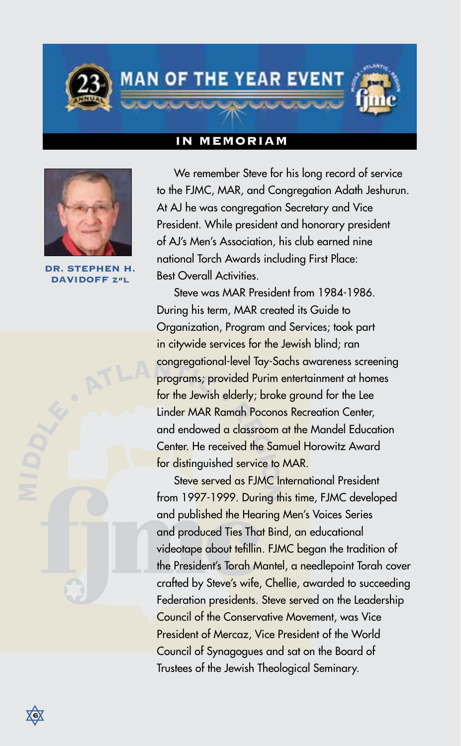**MAN OF THE YEAR EVENT** 

## **IN MEMORIAM**



**STEPHEN DAVIDOFF z**"**l**

We remember Steve for his long record of service to the FJMC, MAR, and Congregation Adath Jeshurun. At AJ he was congregation Secretary and Vice President. While president and honorary president of AJ's Men's Association, his club earned nine national Torch Awards including First Place: Best Overall Activities.

Steve was MAR President from 1984-1986. During his term, MAR created its Guide to Organization, Program and Services; took part in citywide services for the Jewish blind; ran congregational-level Tay-Sachs awareness screening programs; provided Purim entertainment at homes for the Jewish elderly; broke ground for the Lee Linder MAR Ramah Poconos Recreation Center, and endowed a classroom at the Mandel Education Center. He received the Samuel Horowitz Award for distinguished service to MAR.

Steve served as FJMC International President from 1997-1999. During this time, FJMC developed and published the Hearing Men's Voices Series and produced Ties That Bind, an educational videotape about tefillin. FJMC began the tradition of the President's Torah Mantel, a needlepoint Torah cover crafted by Steve's wife, Chellie, awarded to succeeding Federation presidents. Steve served on the Leadership Council of the Conservative Movement, was Vice President of Mercaz, Vice President of the World Council of Synagogues and sat on the Board of Trustees of the Jewish Theological Seminary.

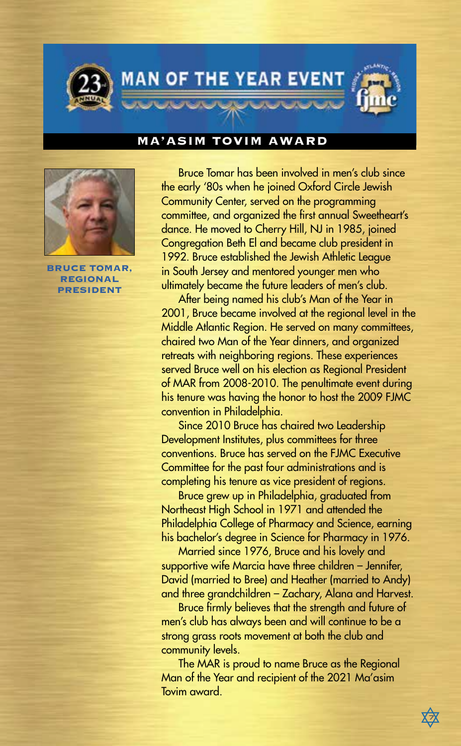

## **MA'ASIM TOVIM AWARD**



**BRUCE TOMAR, REGIONAL PRESIDENT**

Bruce Tomar has been involved in men's club since the early '80s when he joined Oxford Circle Jewish Community Center, served on the programming committee, and organized the first annual Sweetheart's dance. He moved to Cherry Hill, NJ in 1985, joined Congregation Beth El and became club president in 1992. Bruce established the Jewish Athletic League in South Jersey and mentored younger men who ultimately became the future leaders of men's club.

After being named his club's Man of the Year in 2001, Bruce became involved at the regional level in the Middle Atlantic Region. He served on many committees, chaired two Man of the Year dinners, and organized retreats with neighboring regions. These experiences served Bruce well on his election as Regional President of MAR from 2008-2010. The penultimate event during his tenure was having the honor to host the 2009 FJMC convention in Philadelphia.

Since 2010 Bruce has chaired two Leadership Development Institutes, plus committees for three conventions. Bruce has served on the FJMC Executive Committee for the past four administrations and is completing his tenure as vice president of regions.

Bruce grew up in Philadelphia, graduated from Northeast High School in 1971 and attended the Philadelphia College of Pharmacy and Science, earning his bachelor's degree in Science for Pharmacy in 1976.

Married since 1976, Bruce and his lovely and supportive wife Marcia have three children – Jennifer, David (married to Bree) and Heather (married to Andy) and three grandchildren – Zachary, Alana and Harvest.

Bruce firmly believes that the strength and future of men's club has always been and will continue to be a strong grass roots movement at both the club and community levels.

The MAR is proud to name Bruce as the Regional Man of the Year and recipient of the 2021 Ma'asim Tovim award.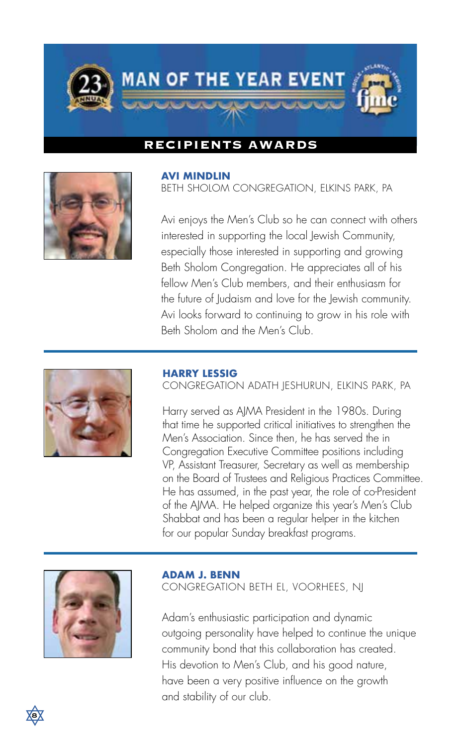

## **RECIPIENTS AWARDS**



#### **AVI MINDLIN**

BETH SHOLOM CONGREGATION, ELKINS PARK, PA

Avi enjoys the Men's Club so he can connect with others interested in supporting the local Jewish Community, especially those interested in supporting and growing Beth Sholom Congregation. He appreciates all of his fellow Men's Club members, and their enthusiasm for the future of Judaism and love for the Jewish community. Avi looks forward to continuing to grow in his role with Beth Sholom and the Men's Club.



#### **HARRY LESSIG**

CONGREGATION ADATH JESHURUN, ELKINS PARK, PA

Harry served as AJMA President in the 1980s. During that time he supported critical initiatives to strengthen the Men's Association. Since then, he has served the in Congregation Executive Committee positions including VP, Assistant Treasurer, Secretary as well as membership on the Board of Trustees and Religious Practices Committee. He has assumed, in the past year, the role of co-President of the AJMA. He helped organize this year's Men's Club Shabbat and has been a regular helper in the kitchen for our popular Sunday breakfast programs.



#### **ADAM J. BENN**

CONGREGATION BETH EL, VOORHEES, NJ

Adam's enthusiastic participation and dynamic outgoing personality have helped to continue the unique community bond that this collaboration has created. His devotion to Men's Club, and his good nature, have been a very positive influence on the growth and stability of our club.

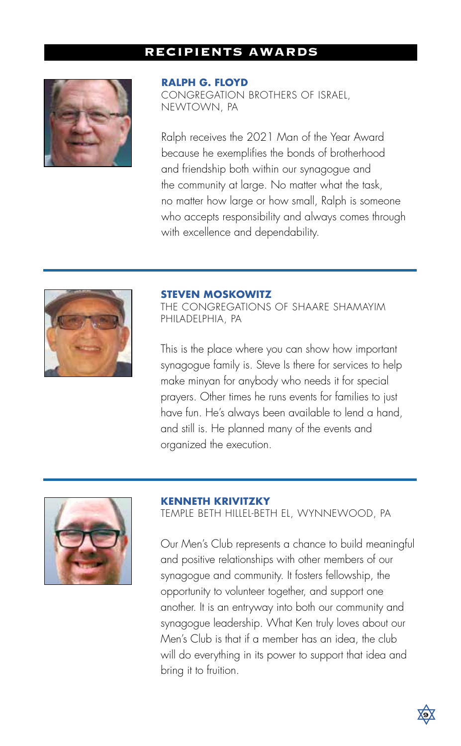## **RECIPIENTS AWARDS**



### **RALPH G. FLOYD**

CONGREGATION BROTHERS OF ISRAEL, NEWTOWN, PA

Ralph receives the 2021 Man of the Year Award because he exemplifies the bonds of brotherhood and friendship both within our synagogue and the community at large. No matter what the task, no matter how large or how small, Ralph is someone who accepts responsibility and always comes through with excellence and dependability.



#### **STEVEN MOSKOWITZ**

THE CONGREGATIONS OF SHAARE SHAMAYIM PHILADELPHIA, PA

This is the place where you can show how important synagogue family is. Steve Is there for services to help make minyan for anybody who needs it for special prayers. Other times he runs events for families to just have fun. He's always been available to lend a hand, and still is. He planned many of the events and organized the execution.



#### **KENNETH KRIVITZKY**

TEMPLE BETH HILLEL-BETH EL, WYNNEWOOD, PA

Our Men's Club represents a chance to build meaningful and positive relationships with other members of our synagogue and community. It fosters fellowship, the opportunity to volunteer together, and support one another. It is an entryway into both our community and synagogue leadership. What Ken truly loves about our Men's Club is that if a member has an idea, the club will do everything in its power to support that idea and bring it to fruition.

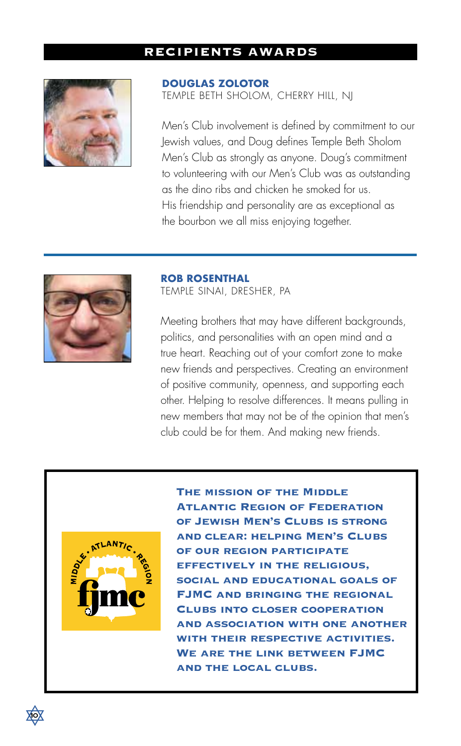## **RECIPIENTS AWARDS**



## **DOUGLAS ZOLOTOR**

TEMPLE BETH SHOLOM, CHERRY HILL, NJ

Men's Club involvement is defined by commitment to our Jewish values, and Doug defines Temple Beth Sholom Men's Club as strongly as anyone. Doug's commitment to volunteering with our Men's Club was as outstanding as the dino ribs and chicken he smoked for us. His friendship and personality are as exceptional as the bourbon we all miss enjoying together.



### **ROB ROSENTHAL**

TEMPLE SINAI, DRESHER, PA

Meeting brothers that may have different backgrounds, politics, and personalities with an open mind and a true heart. Reaching out of your comfort zone to make new friends and perspectives. Creating an environment of positive community, openness, and supporting each other. Helping to resolve differences. It means pulling in new members that may not be of the opinion that men's club could be for them. And making new friends.



**The mission of the Middle Atlantic Region of Federation of Jewish Men's Clubs is strong and clear: helping Men's Clubs of our region participate effectively in the religious, social and educational goals of FJMC and bringing the regional Clubs into closer cooperation and association with one another with their respective activities. We are the link between FJMC and the local clubs.**

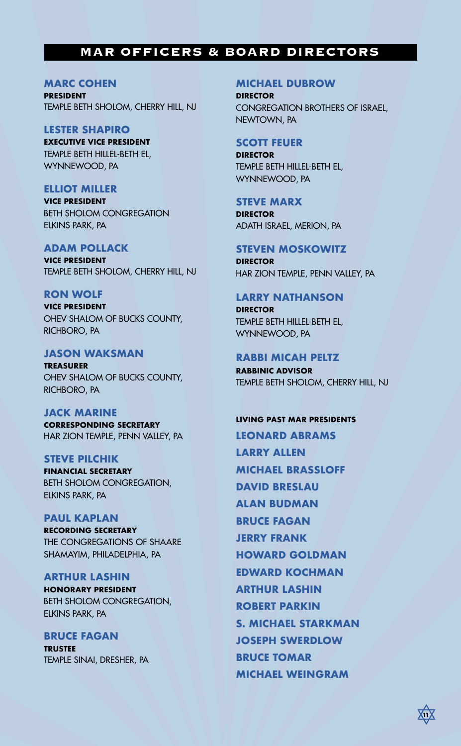## **MAR OFFICERS & BOARD DIRECTORS**

## **MARC COHEN**

**PRESIDENT** TEMPLE BETH SHOLOM, CHERRY HILL, NJ

## **LESTER SHAPIRO**

**EXECUTIVE VICE PRESIDENT** TEMPLE BETH HILLEL-BETH EL, WYNNEWOOD, PA

## **ELLIOT MILLER**

**VICE PRESIDENT** BETH SHOLOM CONGREGATION ELKINS PARK, PA

**ADAM POLLACK**

**VICE PRESIDENT** TEMPLE BETH SHOLOM, CHERRY HILL, NJ

## **RON WOLF**

**VICE PRESIDENT** OHEV SHALOM OF BUCKS COUNTY, RICHBORO, PA

## **JASON WAKSMAN**

**TREASURER** OHEV SHALOM OF BUCKS COUNTY, RICHBORO, PA

**JACK MARINE CORRESPONDING SECRETARY** HAR ZION TEMPLE, PENN VALLEY, PA

### **STEVE PILCHIK**

**FINANCIAL SECRETARY** BETH SHOLOM CONGREGATION, ELKINS PARK, PA

### **PAUL KAPLAN**

**RECORDING SECRETARY** THE CONGREGATIONS OF SHAARE SHAMAYIM, PHILADELPHIA, PA

## **ARTHUR LASHIN**

**HONORARY PRESIDENT** BETH SHOLOM CONGREGATION, ELKINS PARK, PA

**BRUCE FAGAN TRUSTEE** TEMPLE SINAI, DRESHER, PA

### **MICHAEL DUBROW**

**DIRECTOR** CONGREGATION BROTHERS OF ISRAEL, NEWTOWN, PA

## **SCOTT FEUER**

**DIRECTOR** TEMPLE BETH HILLEL-BETH EL, WYNNEWOOD, PA

**STEVE MARX DIRECTOR** ADATH ISRAEL, MERION, PA

**STEVEN MOSKOWITZ DIRECTOR** HAR ZION TEMPLE, PENN VALLEY, PA

## **LARRY NATHANSON**

**DIRECTOR** TEMPLE BETH HILLEL-BETH EL, WYNNEWOOD, PA

## **RABBI MICAH PELTZ**

**RABBINIC ADVISOR** TEMPLE BETH SHOLOM, CHERRY HILL, NJ

#### **LIVING PAST MAR PRESIDENTS**

**LEONARD ABRAMS LARRY ALLEN MICHAEL BRASSLOFF DAVID BRESLAU ALAN BUDMAN BRUCE FAGAN JERRY FRANK HOWARD GOLDMAN EDWARD KOCHMAN ARTHUR LASHIN ROBERT PARKIN S. MICHAEL STARKMAN JOSEPH SWERDLOW BRUCE TOMAR MICHAEL WEINGRAM**